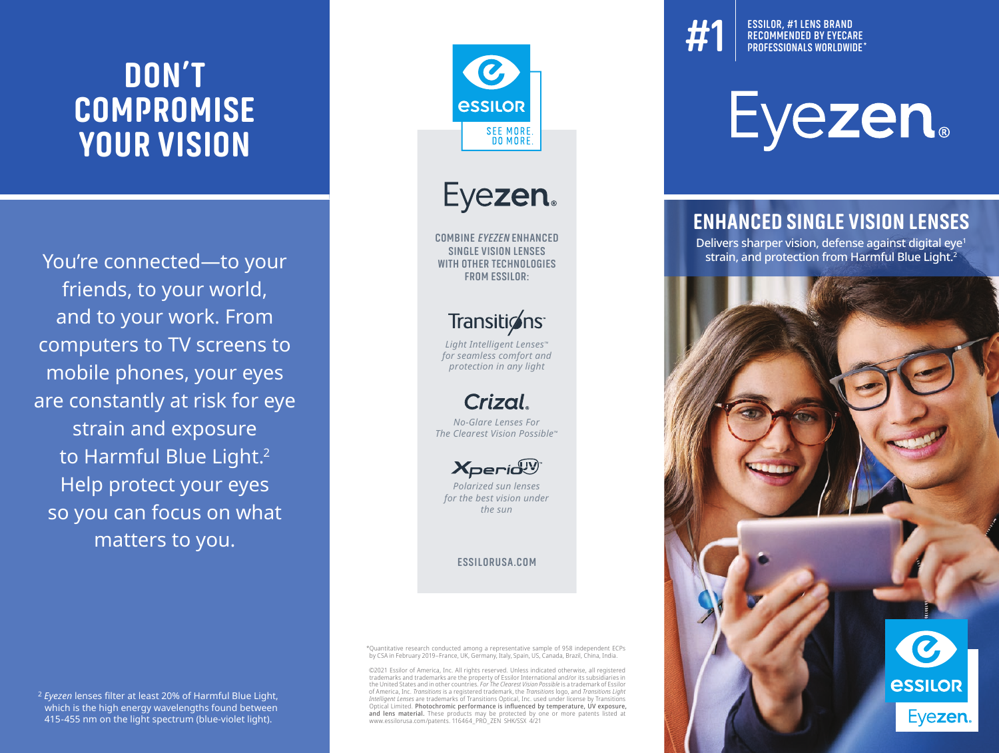# **DON'T COMPROMISE YOUR VISION**

You're connected—to your friends, to your world, and to your work. From computers to TV screens to mobile phones, your eyes are constantly at risk for eye strain and exposure to Harmful Blue Light.<sup>2</sup> Help protect your eyes so you can focus on what matters to you.



## Transitions<sup>-</sup>

*Light Intelligent Lenses™ for seamless comfort and protection in any light*



*No-Glare Lenses For The Clearest Vision Possible™*



*Polarized sun lenses for the best vision under the sun*

**ESSILORUSA.COM**

\*Quantitative research conducted among a representative sample of 958 independent ECPs by CSA in February 2019–France, UK, Germany, Italy, Spain, US, Canada, Brazil, China, India.

©2021 Essilor of America, Inc. All rights reserved. Unless indicated otherwise, all registered trademarks and trademarks are the property of Essilor International and/or its subsidiaries in the United States and in other countries. *For The Clearest Vision Possible* is a trademark of Essilor of America, Inc. *Transitions* is a registered trademark, the *Transitions* logo, and *Transitions Light Intelligent Lenses* are trademarks of Transitions Optical, Inc. used under license by Transitions<br>Optical Limited. **Photochromic performance is influenced by temperature, UV exposure,**<br>**and lens material.** These products www.essilorusa.com/patents. 116464\_PRO\_ZEN\_SHK/SSX\_4/21

**#1** LENS BRAND<br>RECOMMENDED BY EYECARE<br>PROFESSIONALS WORLDWIDE\* **ESSILOR, #1 LENS BRAND RECOMMENDED BY EYECARE** 

# **Eyezen.**

#### **ENHANCED SINGLE VISION LENSES**

Delivers sharper vision, defense against digital eye1 strain, and protection from Harmful Blue Light.2



<sup>2</sup> *Eyezen* lenses filter at least 20% of Harmful Blue Light, which is the high energy wavelengths found between 415-455 nm on the light spectrum (blue-violet light).